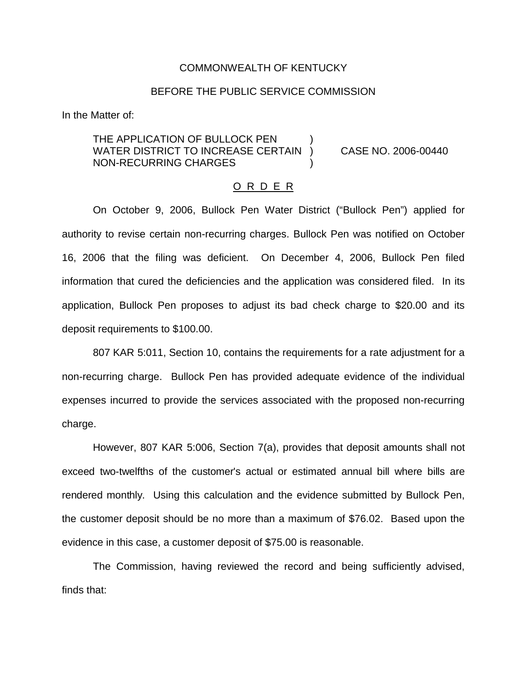## COMMONWEALTH OF KENTUCKY

## BEFORE THE PUBLIC SERVICE COMMISSION

In the Matter of:

THE APPLICATION OF BULLOCK PEN WATER DISTRICT TO INCREASE CERTAIN ) CASE NO. 2006-00440 NON-RECURRING CHARGES )

#### O R D E R

On October 9, 2006, Bullock Pen Water District ("Bullock Pen") applied for authority to revise certain non-recurring charges. Bullock Pen was notified on October 16, 2006 that the filing was deficient. On December 4, 2006, Bullock Pen filed information that cured the deficiencies and the application was considered filed. In its application, Bullock Pen proposes to adjust its bad check charge to \$20.00 and its deposit requirements to \$100.00.

807 KAR 5:011, Section 10, contains the requirements for a rate adjustment for a non-recurring charge. Bullock Pen has provided adequate evidence of the individual expenses incurred to provide the services associated with the proposed non-recurring charge.

However, 807 KAR 5:006, Section 7(a), provides that deposit amounts shall not exceed two-twelfths of the customer's actual or estimated annual bill where bills are rendered monthly. Using this calculation and the evidence submitted by Bullock Pen, the customer deposit should be no more than a maximum of \$76.02. Based upon the evidence in this case, a customer deposit of \$75.00 is reasonable.

The Commission, having reviewed the record and being sufficiently advised, finds that: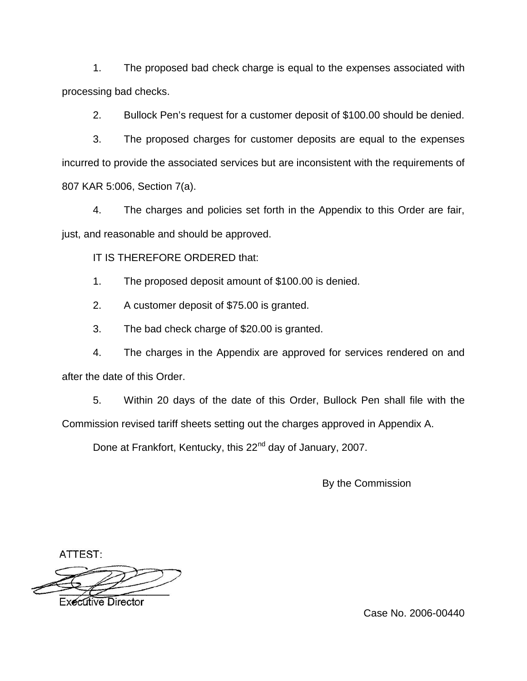1. The proposed bad check charge is equal to the expenses associated with processing bad checks.

2. Bullock Pen's request for a customer deposit of \$100.00 should be denied.

3. The proposed charges for customer deposits are equal to the expenses incurred to provide the associated services but are inconsistent with the requirements of 807 KAR 5:006, Section 7(a).

4. The charges and policies set forth in the Appendix to this Order are fair, just, and reasonable and should be approved.

IT IS THEREFORE ORDERED that:

1. The proposed deposit amount of \$100.00 is denied.

2. A customer deposit of \$75.00 is granted.

3. The bad check charge of \$20.00 is granted.

4. The charges in the Appendix are approved for services rendered on and after the date of this Order.

5. Within 20 days of the date of this Order, Bullock Pen shall file with the Commission revised tariff sheets setting out the charges approved in Appendix A.

Done at Frankfort, Kentucky, this 22<sup>nd</sup> day of January, 2007.

By the Commission

ATTEST:



**Executive Director** 

Case No. 2006-00440